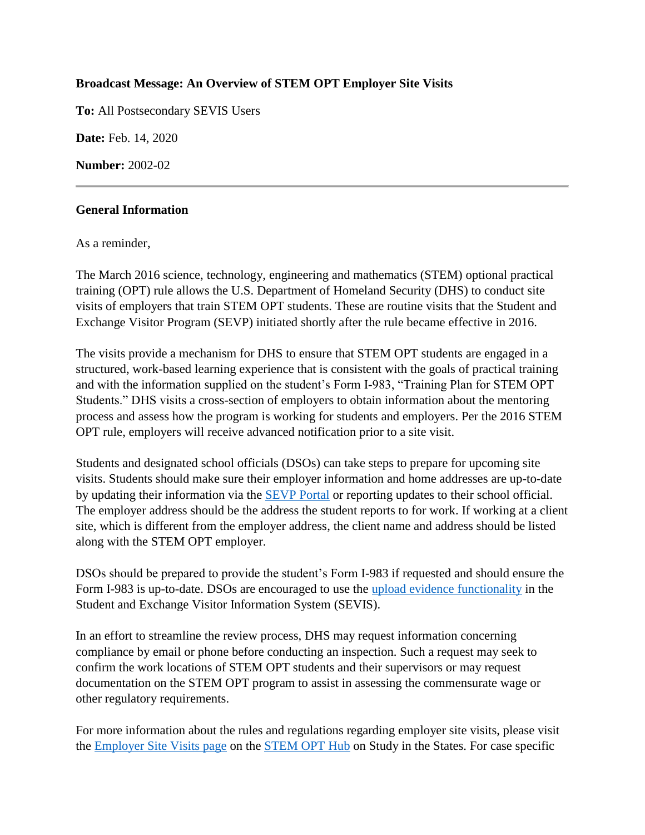## **Broadcast Message: An Overview of STEM OPT Employer Site Visits**

**To:** All Postsecondary SEVIS Users

**Date:** Feb. 14, 2020

**Number:** 2002-02

## **General Information**

As a reminder,

The March 2016 science, technology, engineering and mathematics (STEM) optional practical training (OPT) rule allows the U.S. Department of Homeland Security (DHS) to conduct site visits of employers that train STEM OPT students. These are routine visits that the Student and Exchange Visitor Program (SEVP) initiated shortly after the rule became effective in 2016.

The visits provide a mechanism for DHS to ensure that STEM OPT students are engaged in a structured, work-based learning experience that is consistent with the goals of practical training and with the information supplied on the student's Form I-983, "Training Plan for STEM OPT Students." DHS visits a cross-section of employers to obtain information about the mentoring process and assess how the program is working for students and employers. Per the 2016 STEM OPT rule, employers will receive advanced notification prior to a site visit.

Students and designated school officials (DSOs) can take steps to prepare for upcoming site visits. Students should make sure their employer information and home addresses are up-to-date by updating their information via the [SEVP Portal](https://studyinthestates.dhs.gov/sevp-portal-overview) or reporting updates to their school official. The employer address should be the address the student reports to for work. If working at a client site, which is different from the employer address, the client name and address should be listed along with the STEM OPT employer.

DSOs should be prepared to provide the student's Form I-983 if requested and should ensure the Form I-983 is up-to-date. DSOs are encouraged to use the [upload evidence functionality](https://studyinthestates.dhs.gov/sevis-help-hub/student-records/fm-student-employment/f-1-stem-optional-practical-training-opt-extension#upload_form_i983) in the Student and Exchange Visitor Information System (SEVIS).

In an effort to streamline the review process, DHS may request information concerning compliance by email or phone before conducting an inspection. Such a request may seek to confirm the work locations of STEM OPT students and their supervisors or may request documentation on the STEM OPT program to assist in assessing the commensurate wage or other regulatory requirements.

For more information about the rules and regulations regarding employer site visits, please visit the [Employer Site Visits page](https://studyinthestates.dhs.gov/employer-site-visits) on the [STEM OPT Hub](https://studyinthestates.dhs.gov/stem-opt-hub) on Study in the States. For case specific